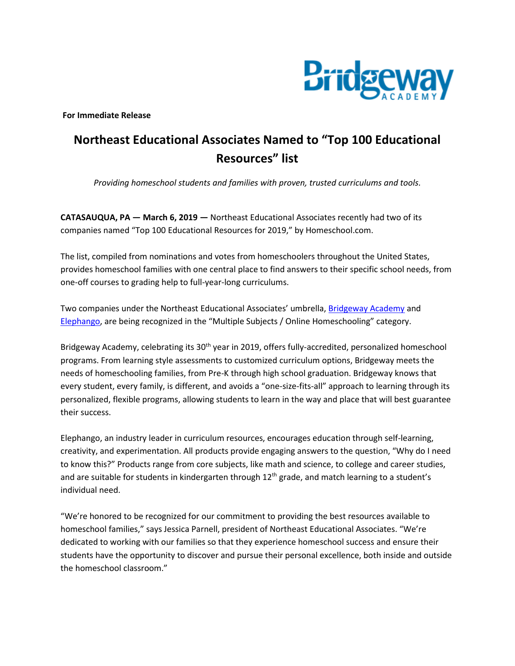

**For Immediate Release**

## **Northeast Educational Associates Named to "Top 100 Educational Resources" list**

*Providing homeschool students and families with proven, trusted curriculums and tools.*

**CATASAUQUA, PA — March 6, 2019 —** Northeast Educational Associates recently had two of its companies named "Top 100 Educational Resources for 2019," by Homeschool.com.

The list, compiled from nominations and votes from homeschoolers throughout the United States, provides homeschool families with one central place to find answers to their specific school needs, from one-off courses to grading help to full-year-long curriculums.

Two companies under the Northeast Educational Associates' umbrella, **[Bridgeway Academy](https://www.homeschoolacademy.com/)** and [Elephango](https://www.elephango.com/index.cfm/pg/welcome), are being recognized in the "Multiple Subjects / Online Homeschooling" category.

Bridgeway Academy, celebrating its 30<sup>th</sup> year in 2019, offers fully-accredited, personalized homeschool programs. From learning style assessments to customized curriculum options, Bridgeway meets the needs of homeschooling families, from Pre-K through high school graduation. Bridgeway knows that every student, every family, is different, and avoids a "one-size-fits-all" approach to learning through its personalized, flexible programs, allowing students to learn in the way and place that will best guarantee their success.

Elephango, an industry leader in curriculum resources, encourages education through self-learning, creativity, and experimentation. All products provide engaging answers to the question, "Why do I need to know this?" Products range from core subjects, like math and science, to college and career studies, and are suitable for students in kindergarten through  $12<sup>th</sup>$  grade, and match learning to a student's individual need.

"We're honored to be recognized for our commitment to providing the best resources available to homeschool families," says Jessica Parnell, president of Northeast Educational Associates. "We're dedicated to working with our families so that they experience homeschool success and ensure their students have the opportunity to discover and pursue their personal excellence, both inside and outside the homeschool classroom."